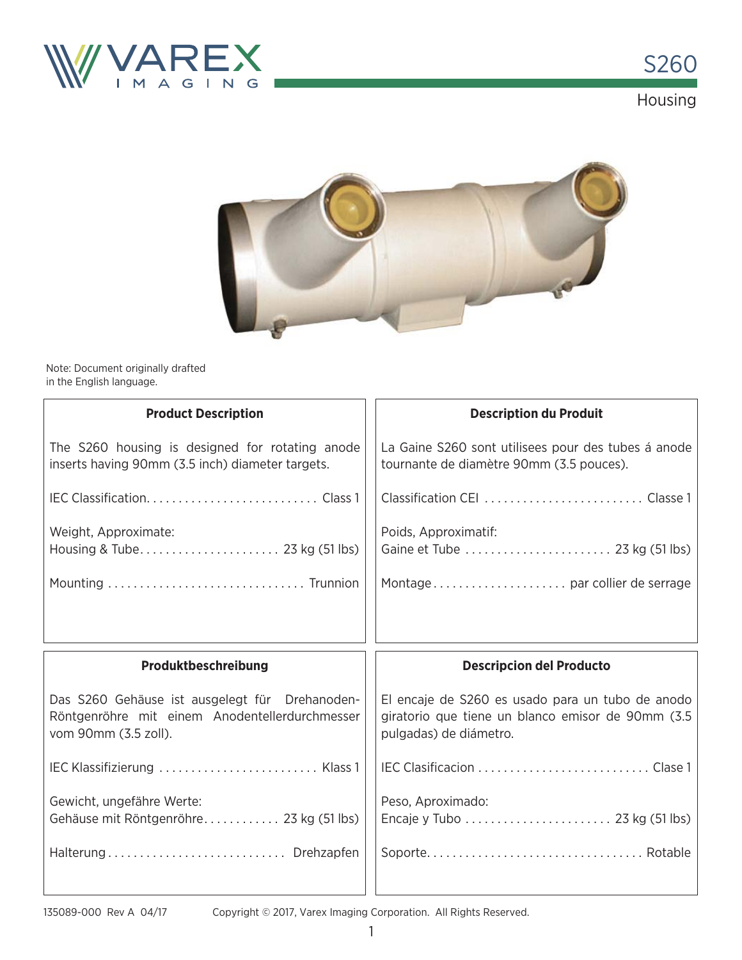



Note: Document originally drafted in the English language.

| <b>Product Description</b>                                                                          | <b>Description du Produit</b>                                                                   |  |  |  |  |  |
|-----------------------------------------------------------------------------------------------------|-------------------------------------------------------------------------------------------------|--|--|--|--|--|
| The S260 housing is designed for rotating anode<br>inserts having 90mm (3.5 inch) diameter targets. | La Gaine S260 sont utilisees pour des tubes á anode<br>tournante de diamètre 90mm (3.5 pouces). |  |  |  |  |  |
|                                                                                                     |                                                                                                 |  |  |  |  |  |
| Weight, Approximate:                                                                                | Poids, Approximatif:                                                                            |  |  |  |  |  |
|                                                                                                     |                                                                                                 |  |  |  |  |  |
|                                                                                                     |                                                                                                 |  |  |  |  |  |
| Produktbeschreibung                                                                                 | <b>Descripcion del Producto</b>                                                                 |  |  |  |  |  |
| Das S260 Gehäuse ist ausgelegt für Drehanoden-                                                      | El encaje de S260 es usado para un tubo de anodo                                                |  |  |  |  |  |
| Röntgenröhre mit einem Anodentellerdurchmesser<br>vom 90mm (3.5 zoll).                              | giratorio que tiene un blanco emisor de 90mm (3.5<br>pulgadas) de diámetro.                     |  |  |  |  |  |
| IEC Klassifizierung  Klass 1                                                                        |                                                                                                 |  |  |  |  |  |
| Gewicht, ungefähre Werte:<br>Gehäuse mit Röntgenröhre 23 kg (51 lbs)                                | Peso, Aproximado:                                                                               |  |  |  |  |  |

Copyright © 2017, Varex Imaging Corporation. All Rights Reserved.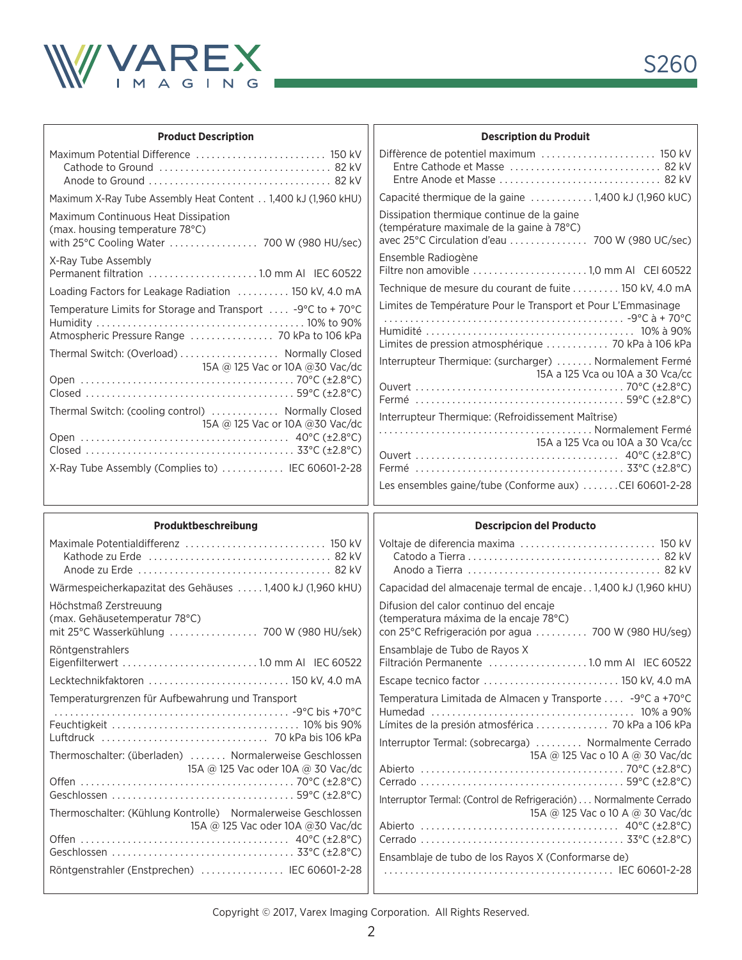

| <b>Product Description</b>                                                                                                                                                                                                    | <b>Description du Produit</b>                                                                                                                                                                                                                   |
|-------------------------------------------------------------------------------------------------------------------------------------------------------------------------------------------------------------------------------|-------------------------------------------------------------------------------------------------------------------------------------------------------------------------------------------------------------------------------------------------|
| Maximum Potential Difference  150 kV                                                                                                                                                                                          |                                                                                                                                                                                                                                                 |
| Maximum X-Ray Tube Assembly Heat Content 1,400 kJ (1,960 kHU)                                                                                                                                                                 | Capacité thermique de la gaine 1,400 kJ (1,960 kUC)                                                                                                                                                                                             |
| Maximum Continuous Heat Dissipation<br>(max. housing temperature 78°C)                                                                                                                                                        | Dissipation thermique continue de la gaine<br>(température maximale de la gaine à 78°C)                                                                                                                                                         |
| X-Ray Tube Assembly                                                                                                                                                                                                           | Ensemble Radiogène<br>Filtre non amovible 1,0 mm Al CEI 60522                                                                                                                                                                                   |
| Loading Factors for Leakage Radiation  150 kV, 4.0 mA                                                                                                                                                                         | Technique de mesure du courant de fuite  150 kV, 4.0 mA                                                                                                                                                                                         |
| Temperature Limits for Storage and Transport  -9°C to +70°C<br>Atmospheric Pressure Range  70 kPa to 106 kPa                                                                                                                  | Limites de Température Pour le Transport et Pour L'Emmasinage<br>Limites de pression atmosphérique  70 kPa à 106 kPa                                                                                                                            |
| Thermal Switch: (Overload) Normally Closed<br>15A @ 125 Vac or 10A @ 30 Vac/dc<br>Thermal Switch: (cooling control)  Normally Closed<br>15A @ 125 Vac or 10A @ 30 Vac/dc<br>X-Ray Tube Assembly (Complies to)  IEC 60601-2-28 | Interrupteur Thermique: (surcharger)  Normalement Fermé<br>15A a 125 Vca ou 10A a 30 Vca/cc<br>Interrupteur Thermique: (Refroidissement Maîtrise)<br>15A a 125 Vca ou 10A a 30 Vca/cc<br>Les ensembles gaine/tube (Conforme aux) CEI 60601-2-28 |
| Produktbeschreibung                                                                                                                                                                                                           | <b>Descripcion del Producto</b>                                                                                                                                                                                                                 |
|                                                                                                                                                                                                                               |                                                                                                                                                                                                                                                 |
|                                                                                                                                                                                                                               |                                                                                                                                                                                                                                                 |

| <b>FIVUURLDUSUIIIUIDUIIY</b>                                  | <b>Description del Frouncio</b>                                     |  |  |  |  |
|---------------------------------------------------------------|---------------------------------------------------------------------|--|--|--|--|
| Maximale Potentialdifferenz  150 kV                           |                                                                     |  |  |  |  |
|                                                               |                                                                     |  |  |  |  |
|                                                               |                                                                     |  |  |  |  |
| Wärmespeicherkapazitat des Gehäuses  1,400 kJ (1,960 kHU)     | Capacidad del almacenaje termal de encaje 1,400 kJ (1,960 kHU)      |  |  |  |  |
| Höchstmaß Zerstreuung                                         | Difusion del calor continuo del encaje                              |  |  |  |  |
| (max. Gehäusetemperatur 78°C)                                 | (temperatura máxima de la encaje 78°C)                              |  |  |  |  |
|                                                               | con 25°C Refrigeración por agua  700 W (980 HU/seg)                 |  |  |  |  |
| Röntgenstrahlers                                              | Ensamblaje de Tubo de Rayos X                                       |  |  |  |  |
|                                                               |                                                                     |  |  |  |  |
| Lecktechnikfaktoren  150 kV, 4.0 mA                           | Escape tecnico factor  150 kV, 4.0 mA                               |  |  |  |  |
| Temperaturgrenzen für Aufbewahrung und Transport              | Temperatura Limitada de Almacen y Transporte  -9°C a +70°C          |  |  |  |  |
|                                                               |                                                                     |  |  |  |  |
|                                                               | Límites de la presión atmosférica  70 kPa a 106 kPa                 |  |  |  |  |
|                                                               | Interruptor Termal: (sobrecarga)  Normalmente Cerrado               |  |  |  |  |
| Thermoschalter: (überladen)  Normalerweise Geschlossen        | 15A @ 125 Vac o 10 A @ 30 Vac/dc                                    |  |  |  |  |
| 15A @ 125 Vac oder 10A @ 30 Vac/dc                            |                                                                     |  |  |  |  |
|                                                               |                                                                     |  |  |  |  |
|                                                               | Interruptor Termal: (Control de Refrigeración)  Normalmente Cerrado |  |  |  |  |
| Thermoschalter: (Kühlung Kontrolle) Normalerweise Geschlossen | 15A @ 125 Vac o 10 A @ 30 Vac/dc                                    |  |  |  |  |
| 15A @ 125 Vac oder 10A @ 30 Vac/dc                            |                                                                     |  |  |  |  |
|                                                               |                                                                     |  |  |  |  |
|                                                               | Ensamblaje de tubo de los Rayos X (Conformarse de)                  |  |  |  |  |
| Röntgenstrahler (Enstprechen)  IEC 60601-2-28                 |                                                                     |  |  |  |  |

Copyright © 2017, Varex Imaging Corporation. All Rights Reserved.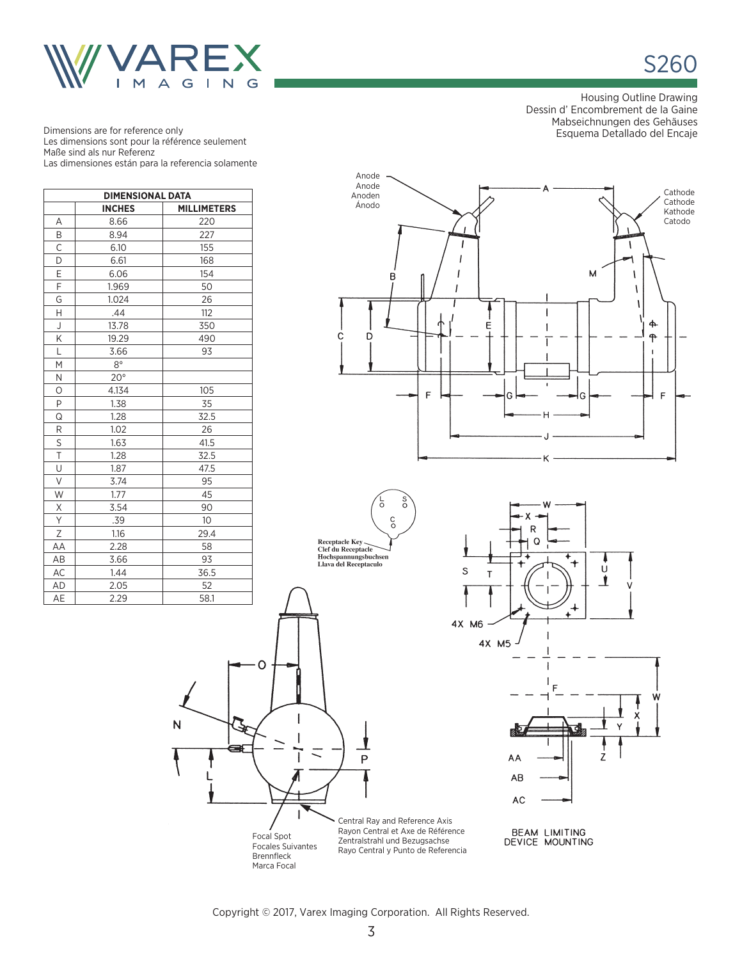

**S260** 

Housing Outline Drawing Dessin d' Encombrement de la Gaine Mabseichnungen des Gehäuses Esquema Detallado del Encaje

Dimensions are for reference only Les dimensions sont pour la référence seulement Maße sind als nur Referenz Las dimensiones están para la referencia solamente

| <b>DIMENSIONAL DATA</b>             |              |      |  |  |  |  |  |  |
|-------------------------------------|--------------|------|--|--|--|--|--|--|
| <b>INCHES</b><br><b>MILLIMETERS</b> |              |      |  |  |  |  |  |  |
| Α                                   | 8.66         | 220  |  |  |  |  |  |  |
| B                                   | 8.94         | 227  |  |  |  |  |  |  |
| $\overline{\mathsf{C}}$             | 6.10         | 155  |  |  |  |  |  |  |
| D                                   | 6.61         | 168  |  |  |  |  |  |  |
| E                                   | 6.06         | 154  |  |  |  |  |  |  |
| $\overline{F}$                      | 1.969        | 50   |  |  |  |  |  |  |
| G                                   | 1.024        | 26   |  |  |  |  |  |  |
| H                                   | .44          | 112  |  |  |  |  |  |  |
| J                                   | 13.78        | 350  |  |  |  |  |  |  |
| Κ                                   | 19.29        | 490  |  |  |  |  |  |  |
| Ĺ                                   | 3.66         | 93   |  |  |  |  |  |  |
| М                                   | $8^{\circ}$  |      |  |  |  |  |  |  |
| N                                   | $20^{\circ}$ |      |  |  |  |  |  |  |
| 0                                   | 4.134        | 105  |  |  |  |  |  |  |
| P                                   | 1.38         | 35   |  |  |  |  |  |  |
| Q                                   | 1.28         | 32.5 |  |  |  |  |  |  |
| R                                   | 1.02         | 26   |  |  |  |  |  |  |
| $\overline{s}$                      | 1.63         | 41.5 |  |  |  |  |  |  |
| $\overline{\mathsf{T}}$             | 1.28         | 32.5 |  |  |  |  |  |  |
| U                                   | 1.87         | 47.5 |  |  |  |  |  |  |
| V                                   | 3.74         | 95   |  |  |  |  |  |  |
| W                                   | 1.77         | 45   |  |  |  |  |  |  |
| Χ                                   | 3.54         | 90   |  |  |  |  |  |  |
| $\overline{Y}$                      | .39          | 10   |  |  |  |  |  |  |
| Ζ                                   | 1.16         | 29.4 |  |  |  |  |  |  |
| AA                                  | 2.28         | 58   |  |  |  |  |  |  |
| AB                                  | 3.66         | 93   |  |  |  |  |  |  |
| AC                                  | 1.44         | 36.5 |  |  |  |  |  |  |
| <b>AD</b>                           | 2.05         | 52   |  |  |  |  |  |  |
| AF                                  | 229          | 581  |  |  |  |  |  |  |

N













റ

Zentralstrahl und Bezugsachse Rayo Central y Punto de Referencia

Copyright © 2017, Varex Imaging Corporation. All Rights Reserved.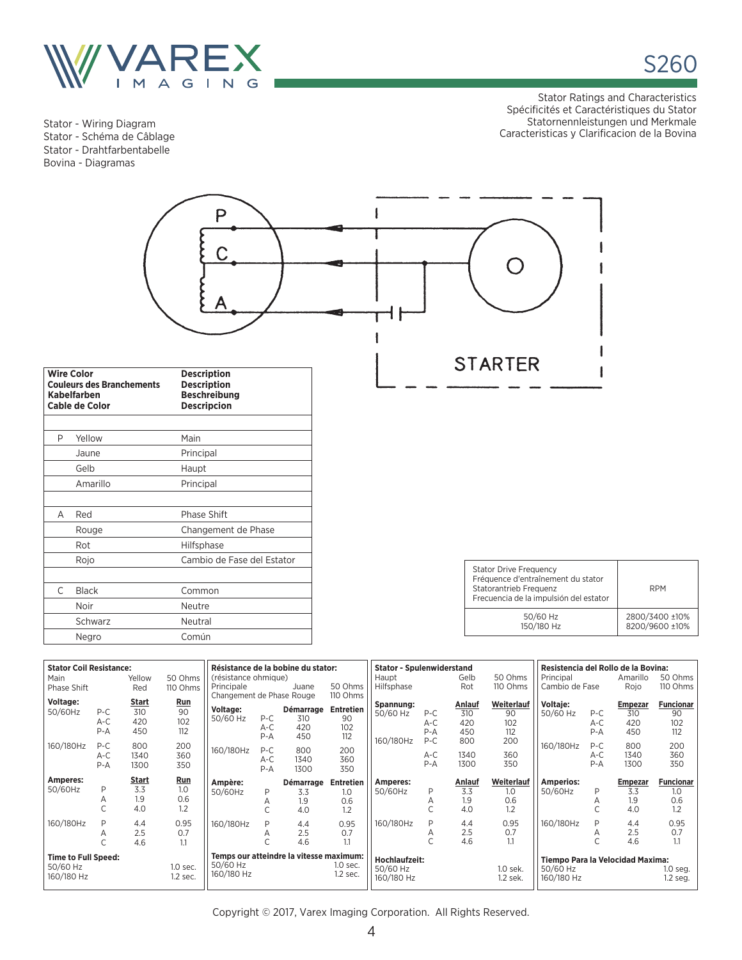

A Red Phase Shift

 C Black Common Noir Neutre Schwarz Neutral Negro Común

Rot Hilfsphase

Rouge Changement de Phase

Rojo Cambio de Fase del Estator

Stator - Wiring Diagram Stator - Schéma de Câblage Stator - Drahtfarbentabelle Bovina - Diagramas

Stator Ratings and Characteristics Spécificités et Caractéristiques du Stator Statornennleistungen und Merkmale Caracteristicas y Clarificacion de la Bovina

S260



| <b>Stator Drive Frequency</b><br>Fréquence d'entraînement du stator<br>Statorantrieb Frequenz<br>Frecuencia de la impulsión del estator | <b>RPM</b>                       |
|-----------------------------------------------------------------------------------------------------------------------------------------|----------------------------------|
| 50/60 Hz<br>150/180 Hz                                                                                                                  | 2800/3400 ±10%<br>8200/9600 ±10% |

| <b>Stator Coil Resistance:</b> |         |              |          | Résistance de la bobine du stator: |         |                                         |                  | <b>Stator - Spulenwiderstand</b> |       |        | Resistencia del Rollo de la Bovina: |                                  |         |                |                  |
|--------------------------------|---------|--------------|----------|------------------------------------|---------|-----------------------------------------|------------------|----------------------------------|-------|--------|-------------------------------------|----------------------------------|---------|----------------|------------------|
| Main                           |         | Yellow       | 50 Ohms  | (résistance ohmique)               |         |                                         |                  | Haupt                            |       | Gelb   | 50 Ohms                             | Principal                        |         | Amarillo       | 50 Ohms          |
| Phase Shift                    |         | Red          | 110 Ohms | Principale                         |         | Juane                                   | 50 Ohms          | Hilfsphase                       |       | Rot    | 110 Ohms                            | Cambio de Fase                   |         | Rojo           | 110 Ohms         |
| Voltage:                       |         | <b>Start</b> | Run      | Changement de Phase Rouge          |         |                                         | 110 Ohms         |                                  |       |        |                                     |                                  |         |                |                  |
| 50/60Hz                        | $P-C$   | 310          | 90       | Voltage:                           |         | Démarrage                               | Entretien        | Spannung:                        |       | Anlauf | Weiterlauf                          | <b>Voltaie:</b>                  |         | <b>Empezar</b> | <b>Funcionar</b> |
|                                |         | 420          | 102      | 50/60 Hz                           | $P-C$   | 310                                     | 90               | 50/60 Hz                         | $P-C$ | 310    | 90                                  | 50/60 Hz                         | $P-C$   | 310            | 90               |
|                                | $A-C$   |              |          |                                    | $A-C$   | 420                                     | 102              |                                  | $A-C$ | 420    | 102                                 |                                  | A-C     | 420            | 102              |
|                                | $P - A$ | 450          | 112      |                                    | $P - A$ | 450                                     | 112              |                                  | $P-A$ | 450    | 112                                 |                                  | $P - A$ | 450            | 112              |
| 160/180Hz                      | $P-C$   | 800          | 200      |                                    |         |                                         |                  | 160/180Hz                        | $P-C$ | 800    | 200                                 | 160/180Hz                        | $P-C$   | 800            | 200              |
|                                | $A-C$   | 1340         | 360      | 160/180Hz                          | $P-C$   | 800                                     | 200              |                                  | $A-C$ | 1340   | 360                                 |                                  | $A-C$   | 1340           | 360              |
|                                | $P - A$ | 1300         | 350      |                                    | $A-C$   | 1340                                    | 360              |                                  | $P-A$ | 1300   | 350                                 |                                  | $P-A$   | 1300           | 350              |
|                                |         |              |          |                                    | $P - A$ | 1300                                    | 350              |                                  |       |        |                                     |                                  |         |                |                  |
|                                |         |              |          |                                    |         |                                         |                  |                                  |       |        |                                     |                                  |         |                |                  |
| Amperes:                       |         | Start        | Run      |                                    |         |                                         |                  |                                  |       |        |                                     |                                  |         |                |                  |
| 50/60Hz                        | P       | 3.3          | 1.0      | Ampère:                            |         | Démarrage                               | <b>Entretien</b> | Amperes:                         |       | Anlauf | Weiterlauf                          | <b>Amperios:</b>                 |         | <b>Empezar</b> | <b>Funcionar</b> |
|                                |         |              |          | 50/60Hz                            | P       | 3.3                                     | 1.0              | 50/60Hz                          | P     | 3.3    | 1.0                                 | 50/60Hz                          | P       | 3.3            | 1.0              |
|                                | Α       | 1.9          | 0.6      |                                    | Α       | 1.9                                     | 0.6              |                                  | Α     | 1.9    | 0.6                                 |                                  | Α       | 1.9            | 0.6              |
|                                |         | 4.0          | 1.2      |                                    |         | 4.0                                     | 1.2              |                                  | Ċ     | 4.0    | 1.2                                 |                                  |         | 4.0            | 1.2              |
| 160/180Hz                      | D       | 4.4          | 0.95     | 160/180Hz                          | P       | 4.4                                     | 0.95             | 160/180Hz                        | P     | 4.4    | 0.95                                | 160/180Hz                        | P       | 4.4            | 0.95             |
|                                | Α       | 2.5          | 0.7      |                                    | А       | 2.5                                     | 0.7              |                                  | Α     | 2.5    | 0.7                                 |                                  | Α       | 2.5            | 0.7              |
|                                |         | 4.6          | 1.1      |                                    |         | 4.6                                     | $1.1\,$          |                                  |       | 4.6    | 1.1                                 |                                  |         | 4.6            | 1.1              |
|                                |         |              |          |                                    |         |                                         |                  |                                  |       |        |                                     |                                  |         |                |                  |
| <b>Time to Full Speed:</b>     |         |              |          |                                    |         | Temps our atteindre la vitesse maximum: |                  | Hochlaufzeit:                    |       |        |                                     | Tiempo Para la Velocidad Maxima: |         |                |                  |
| 50/60 Hz                       |         |              | 1.0 sec. | 50/60 Hz                           |         |                                         | $1.0$ sec.       | 50/60 Hz                         |       |        | 1.0 sek.                            | 50/60 Hz                         |         |                | $1.0$ seg.       |
| 160/180 Hz                     |         |              | 1.2 sec. | 160/180 Hz                         |         |                                         | 1.2 sec.         | 160/180 Hz                       |       |        | 1.2 sek.                            | 160/180 Hz                       |         |                | 1.2 seg.         |

Copyright © 2017, Varex Imaging Corporation. All Rights Reserved.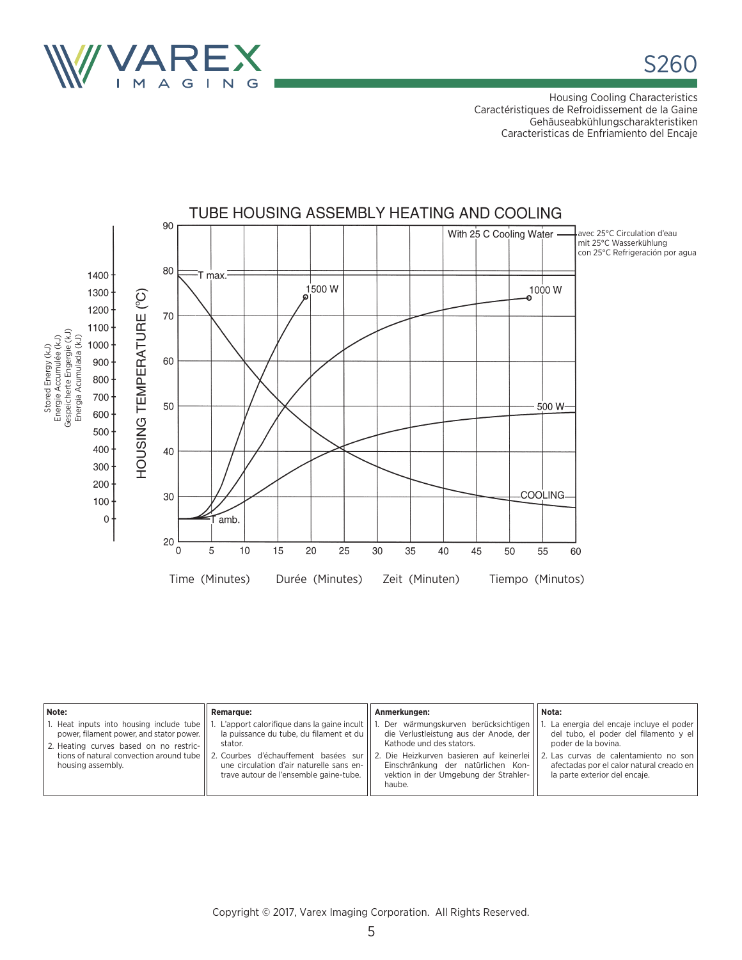

Housing Cooling Characteristics Caractéristiques de Refroidissement de la Gaine Gehäuseabkühlungscharakteristiken Caracteristicas de Enfriamiento del Encaje



| Note:                                                                                                                                               | <b>Remarque:</b>                                                                                                                                                                                                                                                         | Anmerkungen:                                                                                                                                                                                                                                  | Nota:                                                                                                                                                                                                                           |
|-----------------------------------------------------------------------------------------------------------------------------------------------------|--------------------------------------------------------------------------------------------------------------------------------------------------------------------------------------------------------------------------------------------------------------------------|-----------------------------------------------------------------------------------------------------------------------------------------------------------------------------------------------------------------------------------------------|---------------------------------------------------------------------------------------------------------------------------------------------------------------------------------------------------------------------------------|
| 1. Heat inputs into housing include tube<br>power, filament power, and stator power.<br>2. Heating curves based on no restric-<br>housing assembly. | apport calorifique dans la gaine incult  <br>la puissance du tube, du filament et du<br>stator.<br>tions of natural convection around tube 11 2. Courbes d'échauffement basées sur<br>une circulation d'air naturelle sans en-<br>trave autour de l'ensemble gaine-tube. | Der wärmungskurven berücksichtigen<br>die Verlustleistung aus der Anode, der<br>Kathode und des stators.<br>2. Die Heizkurven basieren auf keinerlei<br>Einschränkung der natürlichen Kon-<br>vektion in der Umgebung der Strahler-<br>haube. | 1. La energia del encaje incluye el poder<br>del tubo, el poder del filamento y el<br>poder de la bovina.<br>2. Las curvas de calentamiento no son<br>afectadas por el calor natural creado en<br>la parte exterior del encaie. |